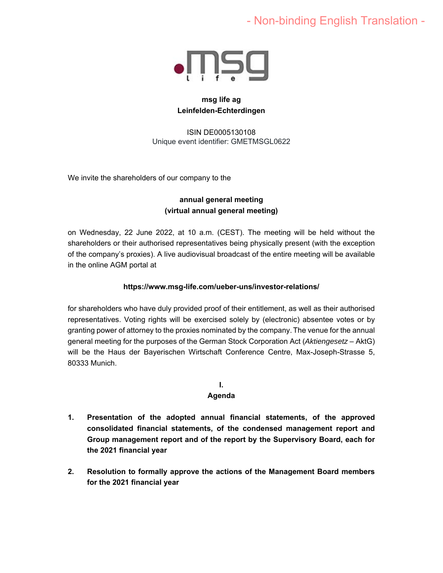# - Non-binding English Translation -



# **msg life ag Leinfelden-Echterdingen**

ISIN DE0005130108 Unique event identifier: GMETMSGL0622

We invite the shareholders of our company to the

# **annual general meeting (virtual annual general meeting)**

on Wednesday, 22 June 2022, at 10 a.m. (CEST). The meeting will be held without the shareholders or their authorised representatives being physically present (with the exception of the company's proxies). A live audiovisual broadcast of the entire meeting will be available in the online AGM portal at

# **https://www.msg-life.com/ueber-uns/investor-relations/**

for shareholders who have duly provided proof of their entitlement, as well as their authorised representatives. Voting rights will be exercised solely by (electronic) absentee votes or by granting power of attorney to the proxies nominated by the company.The venue for the annual general meeting for the purposes of the German Stock Corporation Act (*Aktiengesetz* – AktG) will be the Haus der Bayerischen Wirtschaft Conference Centre, Max-Joseph-Strasse 5, 80333 Munich.

## **I. Agenda**

- **1. Presentation of the adopted annual financial statements, of the approved consolidated financial statements, of the condensed management report and Group management report and of the report by the Supervisory Board, each for the 2021 financial year**
- **2. Resolution to formally approve the actions of the Management Board members for the 2021 financial year**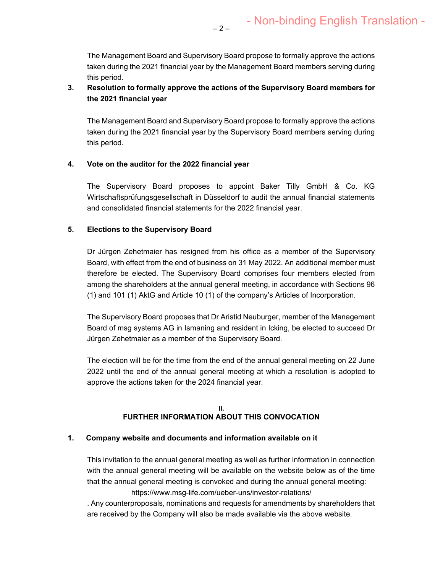The Management Board and Supervisory Board propose to formally approve the actions taken during the 2021 financial year by the Management Board members serving during this period.

# **3. Resolution to formally approve the actions of the Supervisory Board members for the 2021 financial year**

 $-2-$ 

The Management Board and Supervisory Board propose to formally approve the actions taken during the 2021 financial year by the Supervisory Board members serving during this period.

## **4. Vote on the auditor for the 2022 financial year**

The Supervisory Board proposes to appoint Baker Tilly GmbH & Co. KG Wirtschaftsprüfungsgesellschaft in Düsseldorf to audit the annual financial statements and consolidated financial statements for the 2022 financial year.

## **5. Elections to the Supervisory Board**

Dr Jürgen Zehetmaier has resigned from his office as a member of the Supervisory Board, with effect from the end of business on 31 May 2022. An additional member must therefore be elected. The Supervisory Board comprises four members elected from among the shareholders at the annual general meeting, in accordance with Sections 96 (1) and 101 (1) AktG and Article 10 (1) of the company's Articles of Incorporation.

The Supervisory Board proposes that Dr Aristid Neuburger, member of the Management Board of msg systems AG in Ismaning and resident in Icking, be elected to succeed Dr Jürgen Zehetmaier as a member of the Supervisory Board.

The election will be for the time from the end of the annual general meeting on 22 June 2022 until the end of the annual general meeting at which a resolution is adopted to approve the actions taken for the 2024 financial year.

#### **II. FURTHER INFORMATION ABOUT THIS CONVOCATION**

## **1. Company website and documents and information available on it**

This invitation to the annual general meeting as well as further information in connection with the annual general meeting will be available on the website below as of the time that the annual general meeting is convoked and during the annual general meeting: https://www.msg-life.com/ueber-uns/investor-relations/

. Any counterproposals, nominations and requests for amendments by shareholders that are received by the Company will also be made available via the above website.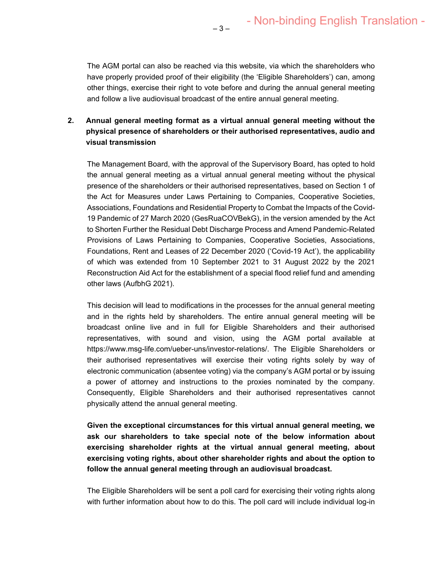The AGM portal can also be reached via this website, via which the shareholders who have properly provided proof of their eligibility (the 'Eligible Shareholders') can, among other things, exercise their right to vote before and during the annual general meeting and follow a live audiovisual broadcast of the entire annual general meeting.

 $-3-$ 

# **2. Annual general meeting format as a virtual annual general meeting without the physical presence of shareholders or their authorised representatives, audio and visual transmission**

The Management Board, with the approval of the Supervisory Board, has opted to hold the annual general meeting as a virtual annual general meeting without the physical presence of the shareholders or their authorised representatives, based on Section 1 of the Act for Measures under Laws Pertaining to Companies, Cooperative Societies, Associations, Foundations and Residential Property to Combat the Impacts of the Covid-19 Pandemic of 27 March 2020 (GesRuaCOVBekG), in the version amended by the Act to Shorten Further the Residual Debt Discharge Process and Amend Pandemic-Related Provisions of Laws Pertaining to Companies, Cooperative Societies, Associations, Foundations, Rent and Leases of 22 December 2020 ('Covid-19 Act'), the applicability of which was extended from 10 September 2021 to 31 August 2022 by the 2021 Reconstruction Aid Act for the establishment of a special flood relief fund and amending other laws (AufbhG 2021).

This decision will lead to modifications in the processes for the annual general meeting and in the rights held by shareholders. The entire annual general meeting will be broadcast online live and in full for Eligible Shareholders and their authorised representatives, with sound and vision, using the AGM portal available at https://www.msg-life.com/ueber-uns/investor-relations/. The Eligible Shareholders or their authorised representatives will exercise their voting rights solely by way of electronic communication (absentee voting) via the company's AGM portal or by issuing a power of attorney and instructions to the proxies nominated by the company. Consequently, Eligible Shareholders and their authorised representatives cannot physically attend the annual general meeting.

**Given the exceptional circumstances for this virtual annual general meeting, we ask our shareholders to take special note of the below information about exercising shareholder rights at the virtual annual general meeting, about exercising voting rights, about other shareholder rights and about the option to follow the annual general meeting through an audiovisual broadcast.** 

The Eligible Shareholders will be sent a poll card for exercising their voting rights along with further information about how to do this. The poll card will include individual log-in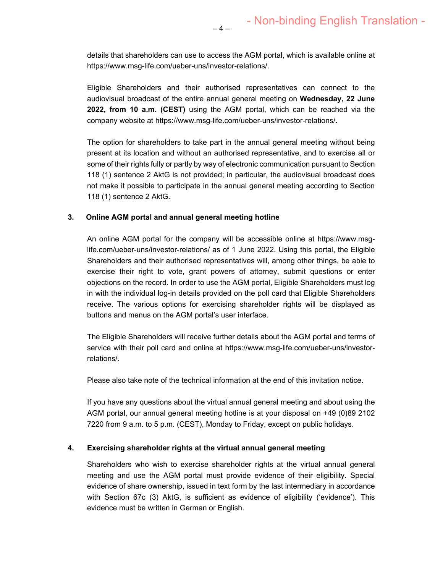details that shareholders can use to access the AGM portal, which is available online at https://www.msg-life.com/ueber-uns/investor-relations/.

Eligible Shareholders and their authorised representatives can connect to the audiovisual broadcast of the entire annual general meeting on **Wednesday, 22 June 2022, from 10 a.m. (CEST)** using the AGM portal, which can be reached via the company website at https://www.msg-life.com/ueber-uns/investor-relations/.

The option for shareholders to take part in the annual general meeting without being present at its location and without an authorised representative, and to exercise all or some of their rights fully or partly by way of electronic communication pursuant to Section 118 (1) sentence 2 AktG is not provided; in particular, the audiovisual broadcast does not make it possible to participate in the annual general meeting according to Section 118 (1) sentence 2 AktG.

#### **3. Online AGM portal and annual general meeting hotline**

An online AGM portal for the company will be accessible online at https://www.msglife.com/ueber-uns/investor-relations/ as of 1 June 2022. Using this portal, the Eligible Shareholders and their authorised representatives will, among other things, be able to exercise their right to vote, grant powers of attorney, submit questions or enter objections on the record. In order to use the AGM portal, Eligible Shareholders must log in with the individual log-in details provided on the poll card that Eligible Shareholders receive. The various options for exercising shareholder rights will be displayed as buttons and menus on the AGM portal's user interface.

The Eligible Shareholders will receive further details about the AGM portal and terms of service with their poll card and online at https://www.msg-life.com/ueber-uns/investorrelations/.

Please also take note of the technical information at the end of this invitation notice.

If you have any questions about the virtual annual general meeting and about using the AGM portal, our annual general meeting hotline is at your disposal on +49 (0)89 2102 7220 from 9 a.m. to 5 p.m. (CEST), Monday to Friday, except on public holidays.

#### **4. Exercising shareholder rights at the virtual annual general meeting**

Shareholders who wish to exercise shareholder rights at the virtual annual general meeting and use the AGM portal must provide evidence of their eligibility. Special evidence of share ownership, issued in text form by the last intermediary in accordance with Section 67c (3) AktG, is sufficient as evidence of eligibility ('evidence'). This evidence must be written in German or English.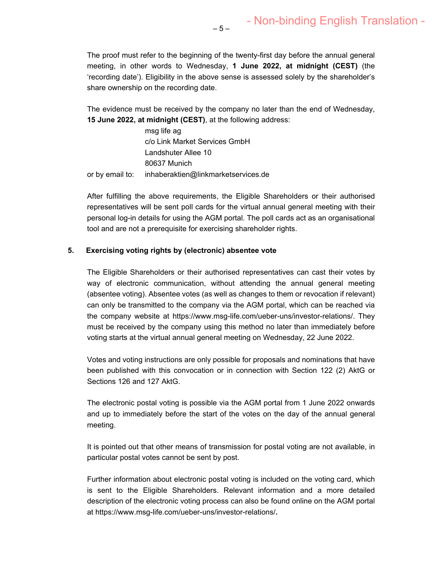The proof must refer to the beginning of the twenty-first day before the annual general meeting, in other words to Wednesday, **1 June 2022, at midnight (CEST)** (the 'recording date'). Eligibility in the above sense is assessed solely by the shareholder's share ownership on the recording date.

The evidence must be received by the company no later than the end of Wednesday, **15 June 2022, at midnight (CEST)**, at the following address:

 msg life ag c/o Link Market Services GmbH Landshuter Allee 10 80637 Munich or by email to: inhaberaktien@linkmarketservices.de

After fulfilling the above requirements, the Eligible Shareholders or their authorised representatives will be sent poll cards for the virtual annual general meeting with their personal log-in details for using the AGM portal. The poll cards act as an organisational tool and are not a prerequisite for exercising shareholder rights.

#### **5. Exercising voting rights by (electronic) absentee vote**

The Eligible Shareholders or their authorised representatives can cast their votes by way of electronic communication, without attending the annual general meeting (absentee voting). Absentee votes (as well as changes to them or revocation if relevant) can only be transmitted to the company via the AGM portal, which can be reached via the company website at https://www.msg-life.com/ueber-uns/investor-relations/. They must be received by the company using this method no later than immediately before voting starts at the virtual annual general meeting on Wednesday, 22 June 2022.

Votes and voting instructions are only possible for proposals and nominations that have been published with this convocation or in connection with Section 122 (2) AktG or Sections 126 and 127 AktG.

The electronic postal voting is possible via the AGM portal from 1 June 2022 onwards and up to immediately before the start of the votes on the day of the annual general meeting.

It is pointed out that other means of transmission for postal voting are not available, in particular postal votes cannot be sent by post.

Further information about electronic postal voting is included on the voting card, which is sent to the Eligible Shareholders. Relevant information and a more detailed description of the electronic voting process can also be found online on the AGM portal at https://www.msg-life.com/ueber-uns/investor-relations/**.**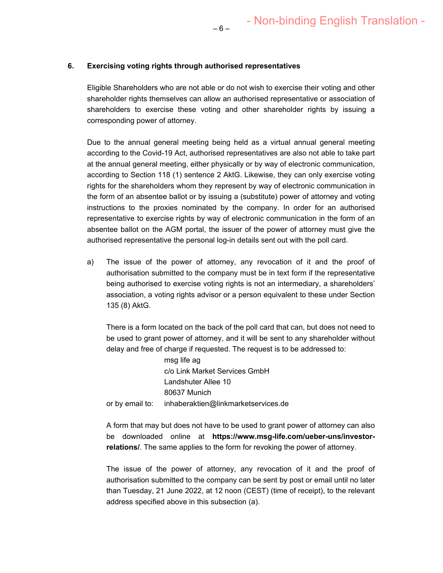#### **6. Exercising voting rights through authorised representatives**

Eligible Shareholders who are not able or do not wish to exercise their voting and other shareholder rights themselves can allow an authorised representative or association of shareholders to exercise these voting and other shareholder rights by issuing a corresponding power of attorney.

Due to the annual general meeting being held as a virtual annual general meeting according to the Covid-19 Act, authorised representatives are also not able to take part at the annual general meeting, either physically or by way of electronic communication, according to Section 118 (1) sentence 2 AktG. Likewise, they can only exercise voting rights for the shareholders whom they represent by way of electronic communication in the form of an absentee ballot or by issuing a (substitute) power of attorney and voting instructions to the proxies nominated by the company. In order for an authorised representative to exercise rights by way of electronic communication in the form of an absentee ballot on the AGM portal, the issuer of the power of attorney must give the authorised representative the personal log-in details sent out with the poll card.

a) The issue of the power of attorney, any revocation of it and the proof of authorisation submitted to the company must be in text form if the representative being authorised to exercise voting rights is not an intermediary, a shareholders' association, a voting rights advisor or a person equivalent to these under Section 135 (8) AktG.

There is a form located on the back of the poll card that can, but does not need to be used to grant power of attorney, and it will be sent to any shareholder without delay and free of charge if requested. The request is to be addressed to:

 msg life ag c/o Link Market Services GmbH Landshuter Allee 10 80637 Munich or by email to: inhaberaktien@linkmarketservices.de

A form that may but does not have to be used to grant power of attorney can also be downloaded online at **https://www.msg-life.com/ueber-uns/investorrelations/**. The same applies to the form for revoking the power of attorney.

The issue of the power of attorney, any revocation of it and the proof of authorisation submitted to the company can be sent by post or email until no later than Tuesday, 21 June 2022, at 12 noon (CEST) (time of receipt), to the relevant address specified above in this subsection (a).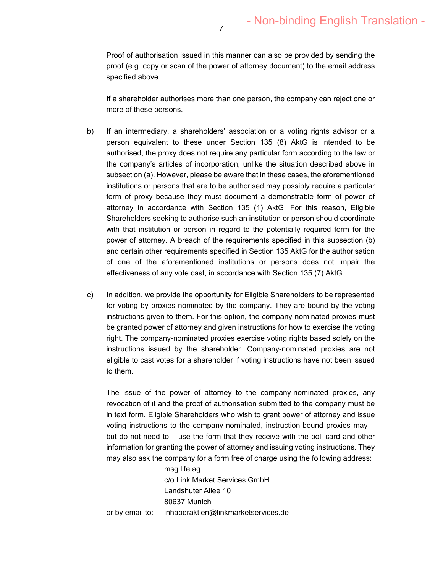Proof of authorisation issued in this manner can also be provided by sending the proof (e.g. copy or scan of the power of attorney document) to the email address specified above.

– 7 –

If a shareholder authorises more than one person, the company can reject one or more of these persons.

- b) If an intermediary, a shareholders' association or a voting rights advisor or a person equivalent to these under Section 135 (8) AktG is intended to be authorised, the proxy does not require any particular form according to the law or the company's articles of incorporation, unlike the situation described above in subsection (a). However, please be aware that in these cases, the aforementioned institutions or persons that are to be authorised may possibly require a particular form of proxy because they must document a demonstrable form of power of attorney in accordance with Section 135 (1) AktG. For this reason, Eligible Shareholders seeking to authorise such an institution or person should coordinate with that institution or person in regard to the potentially required form for the power of attorney. A breach of the requirements specified in this subsection (b) and certain other requirements specified in Section 135 AktG for the authorisation of one of the aforementioned institutions or persons does not impair the effectiveness of any vote cast, in accordance with Section 135 (7) AktG.
- c) In addition, we provide the opportunity for Eligible Shareholders to be represented for voting by proxies nominated by the company. They are bound by the voting instructions given to them. For this option, the company-nominated proxies must be granted power of attorney and given instructions for how to exercise the voting right. The company-nominated proxies exercise voting rights based solely on the instructions issued by the shareholder. Company-nominated proxies are not eligible to cast votes for a shareholder if voting instructions have not been issued to them.

The issue of the power of attorney to the company-nominated proxies, any revocation of it and the proof of authorisation submitted to the company must be in text form. Eligible Shareholders who wish to grant power of attorney and issue voting instructions to the company-nominated, instruction-bound proxies may – but do not need to – use the form that they receive with the poll card and other information for granting the power of attorney and issuing voting instructions. They may also ask the company for a form free of charge using the following address:

> msg life ag c/o Link Market Services GmbH Landshuter Allee 10 80637 Munich

or by email to: inhaberaktien@linkmarketservices.de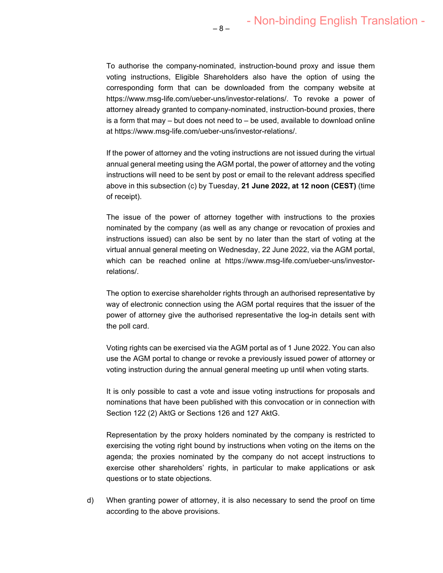To authorise the company-nominated, instruction-bound proxy and issue them voting instructions, Eligible Shareholders also have the option of using the corresponding form that can be downloaded from the company website at https://www.msg-life.com/ueber-uns/investor-relations/. To revoke a power of attorney already granted to company-nominated, instruction-bound proxies, there is a form that may  $-$  but does not need to  $-$  be used, available to download online at https://www.msg-life.com/ueber-uns/investor-relations/.

– 8 –

If the power of attorney and the voting instructions are not issued during the virtual annual general meeting using the AGM portal, the power of attorney and the voting instructions will need to be sent by post or email to the relevant address specified above in this subsection (c) by Tuesday, **21 June 2022, at 12 noon (CEST)** (time of receipt).

The issue of the power of attorney together with instructions to the proxies nominated by the company (as well as any change or revocation of proxies and instructions issued) can also be sent by no later than the start of voting at the virtual annual general meeting on Wednesday, 22 June 2022, via the AGM portal, which can be reached online at https://www.msg-life.com/ueber-uns/investorrelations/.

The option to exercise shareholder rights through an authorised representative by way of electronic connection using the AGM portal requires that the issuer of the power of attorney give the authorised representative the log-in details sent with the poll card.

Voting rights can be exercised via the AGM portal as of 1 June 2022. You can also use the AGM portal to change or revoke a previously issued power of attorney or voting instruction during the annual general meeting up until when voting starts.

It is only possible to cast a vote and issue voting instructions for proposals and nominations that have been published with this convocation or in connection with Section 122 (2) AktG or Sections 126 and 127 AktG.

Representation by the proxy holders nominated by the company is restricted to exercising the voting right bound by instructions when voting on the items on the agenda; the proxies nominated by the company do not accept instructions to exercise other shareholders' rights, in particular to make applications or ask questions or to state objections.

d) When granting power of attorney, it is also necessary to send the proof on time according to the above provisions.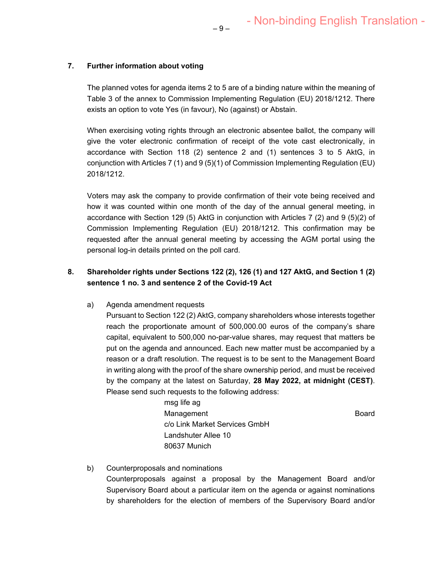## **7. Further information about voting**

The planned votes for agenda items 2 to 5 are of a binding nature within the meaning of Table 3 of the annex to Commission Implementing Regulation (EU) 2018/1212. There exists an option to vote Yes (in favour), No (against) or Abstain.

When exercising voting rights through an electronic absentee ballot, the company will give the voter electronic confirmation of receipt of the vote cast electronically, in accordance with Section 118 (2) sentence 2 and (1) sentences 3 to 5 AktG, in conjunction with Articles 7 (1) and 9 (5)(1) of Commission Implementing Regulation (EU) 2018/1212.

Voters may ask the company to provide confirmation of their vote being received and how it was counted within one month of the day of the annual general meeting, in accordance with Section 129 (5) AktG in conjunction with Articles 7 (2) and 9 (5)(2) of Commission Implementing Regulation (EU) 2018/1212. This confirmation may be requested after the annual general meeting by accessing the AGM portal using the personal log-in details printed on the poll card.

# **8. Shareholder rights under Sections 122 (2), 126 (1) and 127 AktG, and Section 1 (2) sentence 1 no. 3 and sentence 2 of the Covid-19 Act**

a) Agenda amendment requests

Pursuant to Section 122 (2) AktG, company shareholders whose interests together reach the proportionate amount of 500,000.00 euros of the company's share capital, equivalent to 500,000 no-par-value shares, may request that matters be put on the agenda and announced. Each new matter must be accompanied by a reason or a draft resolution. The request is to be sent to the Management Board in writing along with the proof of the share ownership period, and must be received by the company at the latest on Saturday, **28 May 2022, at midnight (CEST)**. Please send such requests to the following address:

> msg life ag Management **Board** Board c/o Link Market Services GmbH Landshuter Allee 10 80637 Munich

b) Counterproposals and nominations Counterproposals against a proposal by the Management Board and/or Supervisory Board about a particular item on the agenda or against nominations by shareholders for the election of members of the Supervisory Board and/or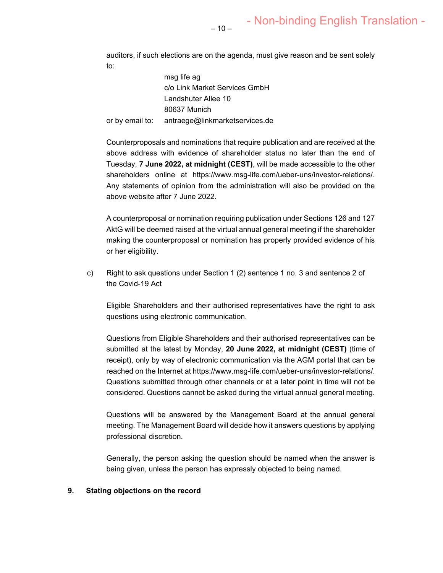auditors, if such elections are on the agenda, must give reason and be sent solely to:

 msg life ag c/o Link Market Services GmbH Landshuter Allee 10 80637 Munich or by email to: antraege@linkmarketservices.de

Counterproposals and nominations that require publication and are received at the above address with evidence of shareholder status no later than the end of Tuesday, **7 June 2022, at midnight (CEST)**, will be made accessible to the other shareholders online at https://www.msg-life.com/ueber-uns/investor-relations/. Any statements of opinion from the administration will also be provided on the above website after 7 June 2022.

A counterproposal or nomination requiring publication under Sections 126 and 127 AktG will be deemed raised at the virtual annual general meeting if the shareholder making the counterproposal or nomination has properly provided evidence of his or her eligibility.

c) Right to ask questions under Section 1 (2) sentence 1 no. 3 and sentence 2 of the Covid-19 Act

Eligible Shareholders and their authorised representatives have the right to ask questions using electronic communication.

Questions from Eligible Shareholders and their authorised representatives can be submitted at the latest by Monday, **20 June 2022, at midnight (CEST)** (time of receipt), only by way of electronic communication via the AGM portal that can be reached on the Internet at https://www.msg-life.com/ueber-uns/investor-relations/. Questions submitted through other channels or at a later point in time will not be considered. Questions cannot be asked during the virtual annual general meeting.

Questions will be answered by the Management Board at the annual general meeting. The Management Board will decide how it answers questions by applying professional discretion.

Generally, the person asking the question should be named when the answer is being given, unless the person has expressly objected to being named.

#### **9. Stating objections on the record**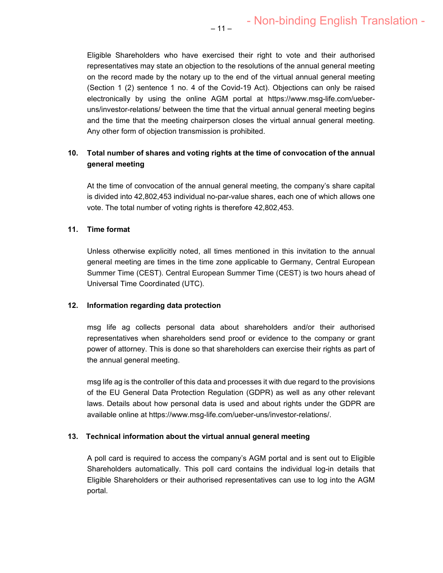Eligible Shareholders who have exercised their right to vote and their authorised representatives may state an objection to the resolutions of the annual general meeting on the record made by the notary up to the end of the virtual annual general meeting (Section 1 (2) sentence 1 no. 4 of the Covid-19 Act). Objections can only be raised electronically by using the online AGM portal at https://www.msg-life.com/ueberuns/investor-relations/ between the time that the virtual annual general meeting begins and the time that the meeting chairperson closes the virtual annual general meeting. Any other form of objection transmission is prohibited.

# **10. Total number of shares and voting rights at the time of convocation of the annual general meeting**

At the time of convocation of the annual general meeting, the company's share capital is divided into 42,802,453 individual no-par-value shares, each one of which allows one vote. The total number of voting rights is therefore 42,802,453.

## **11. Time format**

Unless otherwise explicitly noted, all times mentioned in this invitation to the annual general meeting are times in the time zone applicable to Germany, Central European Summer Time (CEST). Central European Summer Time (CEST) is two hours ahead of Universal Time Coordinated (UTC).

## **12. Information regarding data protection**

msg life ag collects personal data about shareholders and/or their authorised representatives when shareholders send proof or evidence to the company or grant power of attorney. This is done so that shareholders can exercise their rights as part of the annual general meeting.

msg life ag is the controller of this data and processes it with due regard to the provisions of the EU General Data Protection Regulation (GDPR) as well as any other relevant laws. Details about how personal data is used and about rights under the GDPR are available online at https://www.msg-life.com/ueber-uns/investor-relations/.

## **13. Technical information about the virtual annual general meeting**

A poll card is required to access the company's AGM portal and is sent out to Eligible Shareholders automatically. This poll card contains the individual log-in details that Eligible Shareholders or their authorised representatives can use to log into the AGM portal.